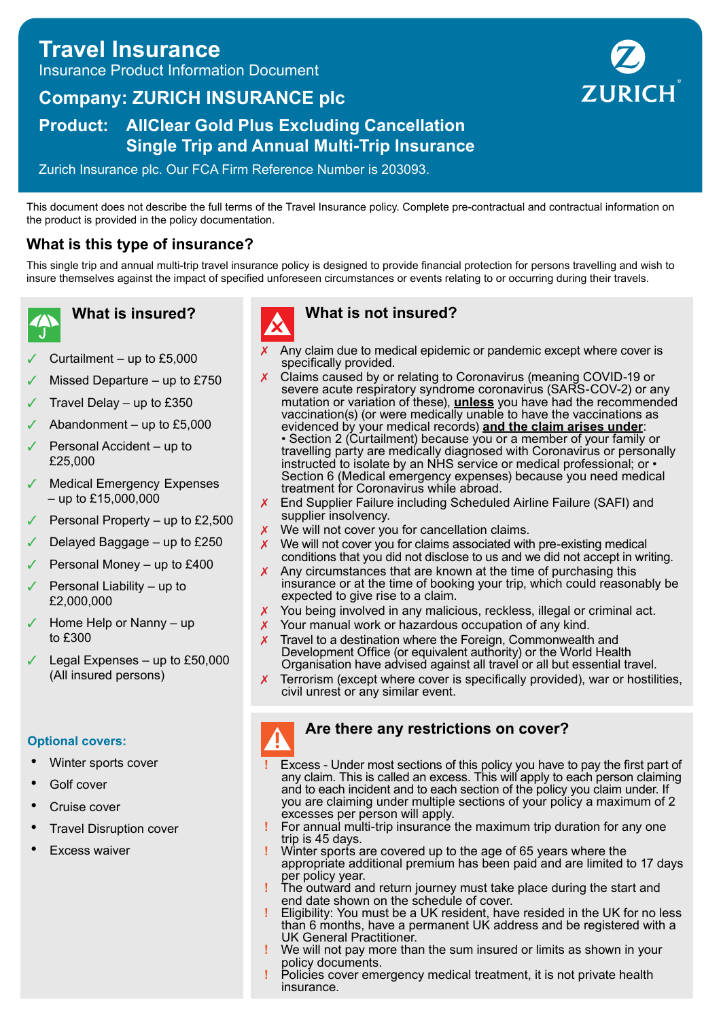## **Travel Insurance** Insurance Product Information Document

# **Company: ZURICH INSURANCE plc**

## **Product: AllClear Gold Plus Excluding Cancellation Single Trip and Annual Multi-Trip Insurance**

Zurich Insurance plc. Our FCA Firm Reference Number is 203093.

This document does not describe the full terms of the Travel Insurance policy. Complete pre-contractual and contractual information on the product is provided in the policy documentation.

## **What is this type of insurance?**

This single trip and annual multi-trip travel insurance policy is designed to provide financial protection for persons travelling and wish to insure themselves against the impact of specified unforeseen circumstances or events relating to or occurring during their travels.

**What is insured?**

- Curtailment  $-$  up to £5,000
- Missed Departure up to  $£750$
- Travel Delay up to  $£350$
- Abandonment up to  $£5,000$
- Personal Accident up to £25,000
- Medical Emergency Expenses – up to £15,000,000
- Personal Property up to £2,500
- Delayed Baggage up to £250
- Personal Money up to £400
- Personal Liability up to £2,000,000
- Home Help or Nanny up to £300
- Legal Expenses up to  $£50,000$ (All insured persons)

#### **Optional covers:**

- Winter sports cover
- Golf cover
- Cruise cover
- Travel Disruption cover
- **Excess waiver**



## **What is not insured?**

- Any claim due to medical epidemic or pandemic except where cover is specifically provided.
- ✗ Claims caused by or relating to Coronavirus (meaning COVID-19 or severe acute respiratory syndrome coronavirus (SARS-COV-2) or any mutation or variation of these), **unless** you have had the recommended vaccination(s) (or were medically unable to have the vaccinations as evidenced by your medical records) **and the claim arises under**: • Section 2 (Curtailment) because you or a member of your family or travelling party are medically diagnosed with Coronavirus or personally instructed to isolate by an NHS service or medical professional; or • Section 6 (Medical emergency expenses) because you need medical treatment for Coronavirus while abroad.
- ✗ End Supplier Failure including Scheduled Airline Failure (SAFI) and supplier insolvency.
- **X** We will not cover you for cancellation claims.
- ✗ We will not cover you for claims associated with pre-existing medical conditions that you did not disclose to us and we did not accept in writing.
- $\chi$  Any circumstances that are known at the time of purchasing this insurance or at the time of booking your trip, which could reasonably be expected to give rise to a claim.
- ✗ You being involved in any malicious, reckless, illegal or criminal act.
- X Your manual work or hazardous occupation of any kind.
- $\chi$  Travel to a destination where the Foreign, Commonwealth and Development Office (or equivalent authority) or the World Health Organisation have advised against all travel or all but essential travel.
- ✗ Terrorism (except where cover is specifically provided), war or hostilities, civil unrest or any similar event.

#### **Are there any restrictions on cover?**

- **!** Excess Under most sections of this policy you have to pay the first part of any claim. This is called an excess. This will apply to each person claiming and to each incident and to each section of the policy you claim under. If you are claiming under multiple sections of your policy a maximum of 2 excesses per person will apply.
- **!** For annual multi-trip insurance the maximum trip duration for any one trip is 45 days.
- **!** Winter sports are covered up to the age of 65 years where the appropriate additional premium has been paid and are limited to 17 days per policy year.
- **!** The outward and return journey must take place during the start and end date shown on the schedule of cover.
- **!** Eligibility: You must be a UK resident, have resided in the UK for no less than 6 months, have a permanent UK address and be registered with a UK General Practitioner.
- **!** We will not pay more than the sum insured or limits as shown in your policy documents.
- **!** Policies cover emergency medical treatment, it is not private health insurance.